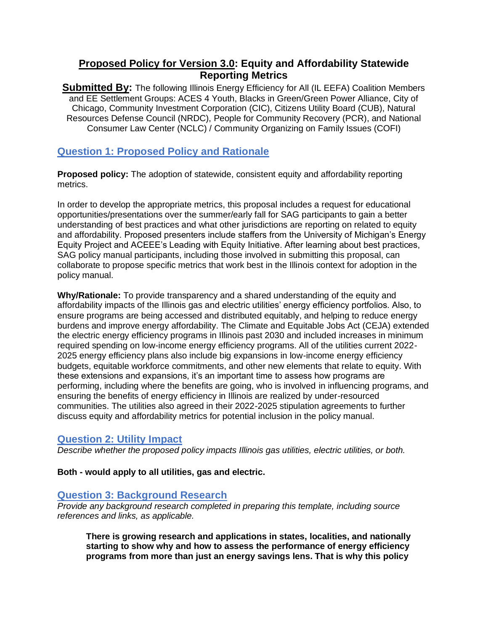# **Proposed Policy for Version 3.0: Equity and Affordability Statewide Reporting Metrics**

**Submitted By:** The following Illinois Energy Efficiency for All (IL EEFA) Coalition Members and EE Settlement Groups: ACES 4 Youth, Blacks in Green/Green Power Alliance, City of Chicago, Community Investment Corporation (CIC), Citizens Utility Board (CUB), Natural Resources Defense Council (NRDC), People for Community Recovery (PCR), and National Consumer Law Center (NCLC) / Community Organizing on Family Issues (COFI)

# **Question 1: Proposed Policy and Rationale**

**Proposed policy:** The adoption of statewide, consistent equity and affordability reporting metrics.

In order to develop the appropriate metrics, this proposal includes a request for educational opportunities/presentations over the summer/early fall for SAG participants to gain a better understanding of best practices and what other jurisdictions are reporting on related to equity and affordability. Proposed presenters include staffers from the University of Michigan's Energy Equity Project and ACEEE's Leading with Equity Initiative. After learning about best practices, SAG policy manual participants, including those involved in submitting this proposal, can collaborate to propose specific metrics that work best in the Illinois context for adoption in the policy manual.

**Why/Rationale:** To provide transparency and a shared understanding of the equity and affordability impacts of the Illinois gas and electric utilities' energy efficiency portfolios. Also, to ensure programs are being accessed and distributed equitably, and helping to reduce energy burdens and improve energy affordability. The Climate and Equitable Jobs Act (CEJA) extended the electric energy efficiency programs in Illinois past 2030 and included increases in minimum required spending on low-income energy efficiency programs. All of the utilities current 2022- 2025 energy efficiency plans also include big expansions in low-income energy efficiency budgets, equitable workforce commitments, and other new elements that relate to equity. With these extensions and expansions, it's an important time to assess how programs are performing, including where the benefits are going, who is involved in influencing programs, and ensuring the benefits of energy efficiency in Illinois are realized by under-resourced communities. The utilities also agreed in their 2022-2025 stipulation agreements to further discuss equity and affordability metrics for potential inclusion in the policy manual.

#### **Question 2: Utility Impact**

*Describe whether the proposed policy impacts Illinois gas utilities, electric utilities, or both.* 

**Both - would apply to all utilities, gas and electric.**

#### **Question 3: Background Research**

*Provide any background research completed in preparing this template, including source references and links, as applicable.* 

**There is growing research and applications in states, localities, and nationally starting to show why and how to assess the performance of energy efficiency programs from more than just an energy savings lens. That is why this policy**